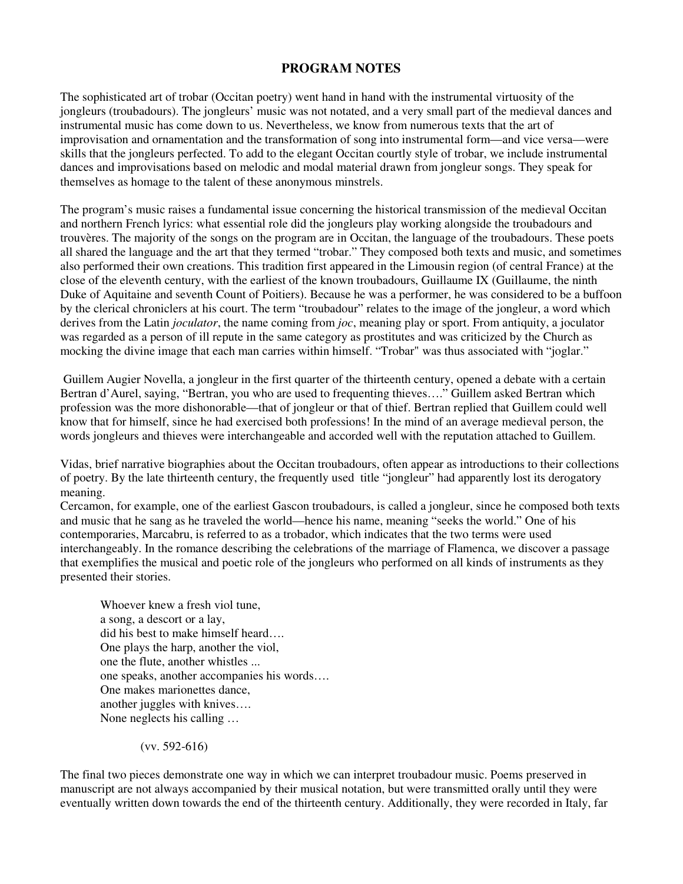## **PROGRAM NOTES**

The sophisticated art of trobar (Occitan poetry) went hand in hand with the instrumental virtuosity of the jongleurs (troubadours). The jongleurs' music was not notated, and a very small part of the medieval dances and instrumental music has come down to us. Nevertheless, we know from numerous texts that the art of improvisation and ornamentation and the transformation of song into instrumental form—and vice versa—were skills that the jongleurs perfected. To add to the elegant Occitan courtly style of trobar, we include instrumental dances and improvisations based on melodic and modal material drawn from jongleur songs. They speak for themselves as homage to the talent of these anonymous minstrels.

The program's music raises a fundamental issue concerning the historical transmission of the medieval Occitan and northern French lyrics: what essential role did the jongleurs play working alongside the troubadours and trouvères. The majority of the songs on the program are in Occitan, the language of the troubadours. These poets all shared the language and the art that they termed "trobar." They composed both texts and music, and sometimes also performed their own creations. This tradition first appeared in the Limousin region (of central France) at the close of the eleventh century, with the earliest of the known troubadours, Guillaume IX (Guillaume, the ninth Duke of Aquitaine and seventh Count of Poitiers). Because he was a performer, he was considered to be a buffoon by the clerical chroniclers at his court. The term "troubadour" relates to the image of the jongleur, a word which derives from the Latin *joculator*, the name coming from *joc*, meaning play or sport. From antiquity, a joculator was regarded as a person of ill repute in the same category as prostitutes and was criticized by the Church as mocking the divine image that each man carries within himself. "Trobar" was thus associated with "joglar."

 Guillem Augier Novella, a jongleur in the first quarter of the thirteenth century, opened a debate with a certain Bertran d'Aurel, saying, "Bertran, you who are used to frequenting thieves…." Guillem asked Bertran which profession was the more dishonorable—that of jongleur or that of thief. Bertran replied that Guillem could well know that for himself, since he had exercised both professions! In the mind of an average medieval person, the words jongleurs and thieves were interchangeable and accorded well with the reputation attached to Guillem.

Vidas, brief narrative biographies about the Occitan troubadours, often appear as introductions to their collections of poetry. By the late thirteenth century, the frequently used title "jongleur" had apparently lost its derogatory meaning.

Cercamon, for example, one of the earliest Gascon troubadours, is called a jongleur, since he composed both texts and music that he sang as he traveled the world—hence his name, meaning "seeks the world." One of his contemporaries, Marcabru, is referred to as a trobador, which indicates that the two terms were used interchangeably. In the romance describing the celebrations of the marriage of Flamenca, we discover a passage that exemplifies the musical and poetic role of the jongleurs who performed on all kinds of instruments as they presented their stories.

 Whoever knew a fresh viol tune, a song, a descort or a lay, did his best to make himself heard…. One plays the harp, another the viol, one the flute, another whistles ... one speaks, another accompanies his words…. One makes marionettes dance, another juggles with knives…. None neglects his calling …

(vv. 592-616)

The final two pieces demonstrate one way in which we can interpret troubadour music. Poems preserved in manuscript are not always accompanied by their musical notation, but were transmitted orally until they were eventually written down towards the end of the thirteenth century. Additionally, they were recorded in Italy, far